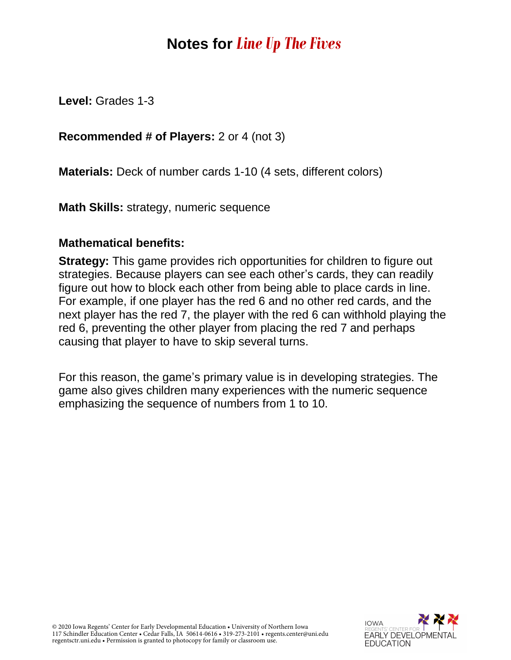# **Notes for** *Line Up The Fives*

**Level:** Grades 1-3

### **Recommended # of Players:** 2 or 4 (not 3)

**Materials:** Deck of number cards 1-10 (4 sets, different colors)

**Math Skills:** strategy, numeric sequence

#### **Mathematical benefits:**

**Strategy:** This game provides rich opportunities for children to figure out strategies. Because players can see each other's cards, they can readily figure out how to block each other from being able to place cards in line. For example, if one player has the red 6 and no other red cards, and the next player has the red 7, the player with the red 6 can withhold playing the red 6, preventing the other player from placing the red 7 and perhaps causing that player to have to skip several turns.

For this reason, the game's primary value is in developing strategies. The game also gives children many experiences with the numeric sequence emphasizing the sequence of numbers from 1 to 10.

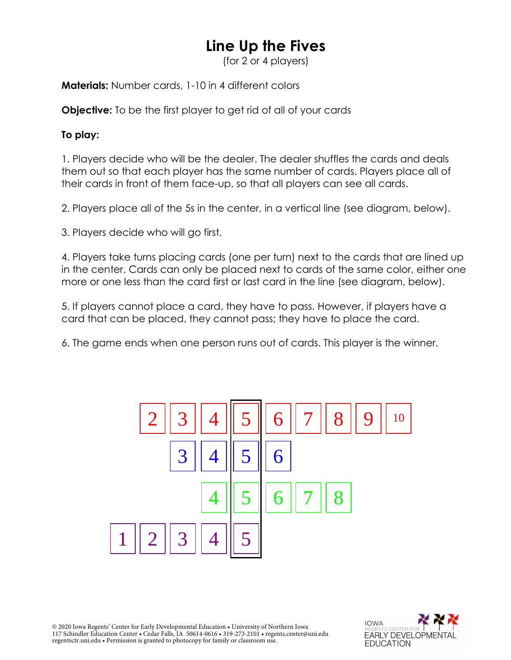## **Line Up the Fives**

(for 2 or 4 players)

**Materials:** Number cards, 1-10 in 4 different colors

**Objective:** To be the first player to get rid of all of your cards

#### **To play:**

1. Players decide who will be the dealer. The dealer shuffles the cards and deals them out so that each player has the same number of cards. Players place all of their cards in front of them face-up, so that all players can see all cards.

2. Players place all of the 5s in the center, in a vertical line (see diagram, below).

3. Players decide who will go first.

4. Players take turns placing cards (one per turn) next to the cards that are lined up in the center. Cards can only be placed next to cards of the same color, either one more or one less than the card first or last card in the line (see diagram, below).

5. If players cannot place a card, they have to pass. However, if players have a card that can be placed, they cannot pass; they have to place the card.

6. The game ends when one person runs out of cards. This player is the winner.



© 2020 Iowa Regents' Center for Early Developmental Education • University of Northern Iowa 117 Schindler Education Center • Cedar Falls, IA 50614-0616 • 319-273-2101 • regents.center@uni.edu regentsctr.uni.edu • Permission is granted to photocopy for family or classroom use.

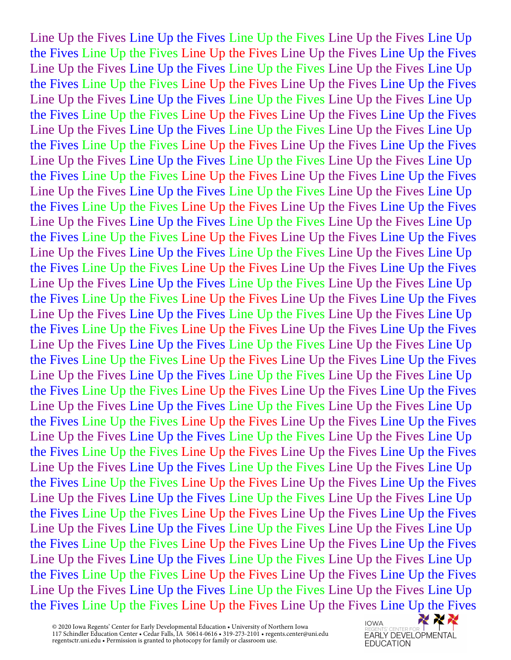Line Up the Fives Line Up the Fives Line Up the Fives Line Up the Fives Line Up the Fives Line Up the Fives Line Up the Fives Line Up the Fives Line Up the Fives Line Up the Fives Line Up the Fives Line Up the Fives Line Up the Fives Line Up the Fives Line Up the Fives Line Up the Fives Line Up the Fives Line Up the Fives Line Up the Fives Line Up the Fives Line Up the Fives Line Up the Fives Line Up the Fives Line Up the Fives Line Up the Fives Line Up the Fives Line Up the Fives Line Up the Fives Line Up the Fives Line Up the Fives Line Up the Fives Line Up the Fives Line Up the Fives Line Up the Fives Line Up the Fives Line Up the Fives Line Up the Fives Line Up the Fives Line Up the Fives Line Up the Fives Line Up the Fives Line Up the Fives Line Up the Fives Line Up the Fives Line Up the Fives Line Up the Fives Line Up the Fives Line Up the Fives Line Up the Fives Line Up the Fives Line Up the Fives Line Up the Fives Line Up the Fives Line Up the Fives Line Up the Fives Line Up the Fives Line Up the Fives Line Up the Fives Line Up the Fives Line Up the Fives Line Up the Fives Line Up the Fives Line Up the Fives Line Up the Fives Line Up the Fives Line Up the Fives Line Up the Fives Line Up the Fives Line Up the Fives Line Up the Fives Line Up the Fives Line Up the Fives Line Up the Fives Line Up the Fives Line Up the Fives Line Up the Fives Line Up the Fives Line Up the Fives Line Up the Fives Line Up the Fives Line Up the Fives Line Up the Fives Line Up the Fives Line Up the Fives Line Up the Fives Line Up the Fives Line Up the Fives Line Up the Fives Line Up the Fives Line Up the Fives Line Up the Fives Line Up the Fives Line Up the Fives Line Up the Fives Line Up the Fives Line Up the Fives Line Up the Fives Line Up the Fives Line Up the Fives Line Up the Fives Line Up the Fives Line Up the Fives Line Up the Fives Line Up the Fives Line Up the Fives Line Up the Fives Line Up the Fives Line Up the Fives Line Up the Fives Line Up the Fives Line Up the Fives Line Up the Fives Line Up the Fives Line Up the Fives Line Up the Fives Line Up the Fives Line Up the Fives Line Up the Fives Line Up the Fives Line Up the Fives Line Up the Fives Line Up the Fives Line Up the Fives Line Up the Fives Line Up the Fives Line Up the Fives Line Up the Fives Line Up the Fives Line Up the Fives Line Up the Fives Line Up the Fives Line Up the Fives Line Up the Fives Line Up the Fives Line Up the Fives Line Up the Fives Line Up the Fives Line Up the Fives Line Up the Fives Line Up the Fives Line Up the Fives Line Up the Fives Line Up the Fives Line Up the Fives Line Up the Fives Line Up the Fives Line Up the Fives Line Up the Fives Line Up the Fives Line Up the Fives Line Up the Fives Line Up the Fives Line Up the Fives Line Up the Fives Line Up the Fives Line Up the Fives Line Up the Fives Line Up the Fives Line Up the Fives Line Up the Fives Line Up the Fives Line Up the Fives Line Up the Fives Line Up the Fives Line Up the Fives Line Up the Fives Line Up the Fives Line Up the Fives Line Up the Fives Line Up the Fives Line Up the Fives

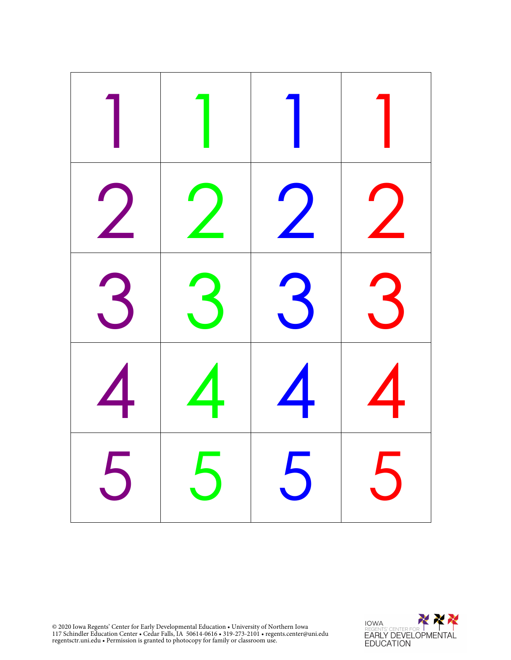| $\frac{1}{2}$              | $\overline{\phantom{a}}$ | $\bigvee$        |                      |
|----------------------------|--------------------------|------------------|----------------------|
| $\boldsymbol{\mathcal{S}}$ | $\ddot{\phantom{1}}$     | $\mathbf{3}$     | $\ddot{\phantom{1}}$ |
| $\blacktriangle$           | 4                        | $\blacktriangle$ |                      |
|                            |                          | 5   5   5   5    |                      |

© 2020 Iowa Regents' Center for Early Developmental Education • University of Northern Iowa 117 Schindler Education Center • Cedar Falls, IA 50614-0616 • 319-273-2101 • regents.center@uni.edu regentsctr.uni.edu • Permission is granted to photocopy for family or classroom use.